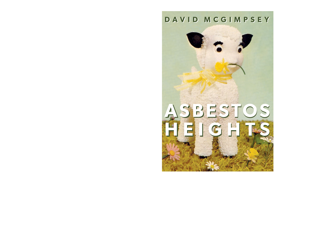# **DAVID MCGIMPSEY DAVID MCGIMPSEY**

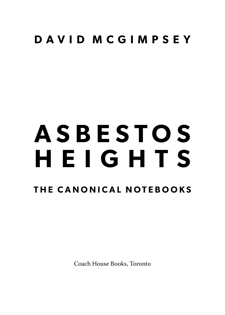## **D A V I D M C G I M P S E Y**

# **T H E C A N O N I C A L N OT E B O O K S A S B E S T O S H E I G H T S**

Coach House Books, Toronto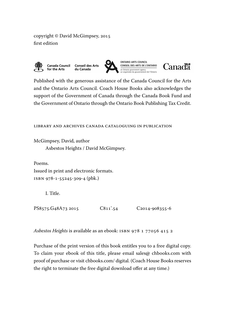copyright © David McGimpsey, 2015 first edition



Published with the generous assistance of the Canada Council for the Arts and the Ontario Arts Council. Coach House Books also acknowledges the support of the Government of Canada through the Canada Book Fund and the Government of Ontario through the Ontario Book Publishing Tax Credit.

library and archives canada cataloguing in publication

McGimpsey, David, author Asbestos Heights / David McGimpsey.

Poems. Issued in print and electronic formats. isbn 978-1-55245-309-4 (pbk.)

I. Title.

PS8575.G48A73 2015 C811'.54 C2014-908355-6

Asbestos Heights is available as an ebook: ISBN 978 1 77056 415 2

Purchase of the print version of this book entitles you to a free digital copy. To claim your ebook of this title, please email sales@ chbooks.com with proof of purchase or visit chbooks.com/ digital. (Coach House Booksreserves the right to terminate the free digital download offer at any time.)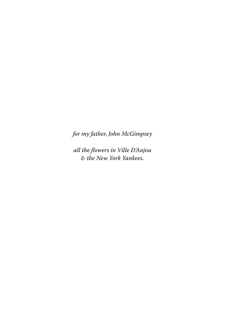for my father, John McGimpsey

all the flowers in Ville D'Anjou & the New York Yankees.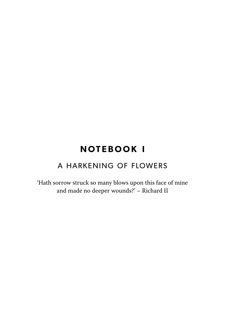### **NOTEBOOK I**

#### A HARKENING OF FLOWERS

'Hath sorrow struck so many blows upon this face of mine and made no deeper wounds?' – Richard II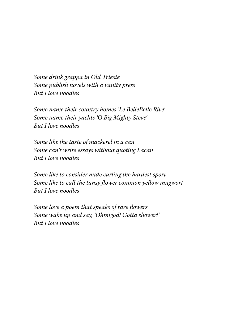Some drink grappa in Old Trieste Some publish novels with a vanity press But I love noodles

Some name their country homes 'Le BelleBelle Rive' Some name their yachts 'O Big Mighty Steve' But I love noodles

Some like the taste of mackerel in a can Some can't write essays without quoting Lacan But I love noodles

Some like to consider nude curling the hardest sport Some like to call the tansy flower common yellow mugwort But I love noodles

Some love a poem that speaks of rare flowers Some wake up and say, 'Ohmigod! Gotta shower!' But I love noodles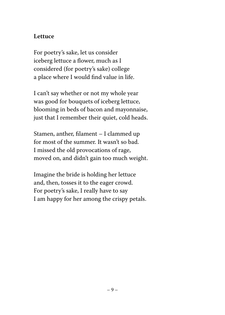#### **Lettuce**

For poetry's sake, let us consider iceberg lettuce a flower, much as I considered (for poetry's sake) college a place where I would find value in life.

I can't say whether or not my whole year was good for bouquets of iceberg lettuce, blooming in beds of bacon and mayonnaise, just that I remember their quiet, cold heads.

Stamen, anther, filament – I clammed up for most of the summer. It wasn't so bad. I missed the old provocations of rage, moved on, and didn't gain too much weight.

Imagine the bride is holding her lettuce and, then, tosses it to the eager crowd. For poetry's sake, I really have to say I am happy for her among the crispy petals.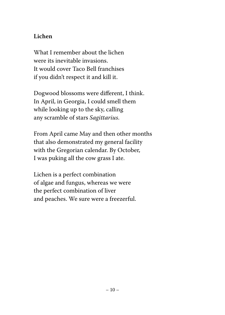#### **Lichen**

What I remember about the lichen were its inevitable invasions. It would cover Taco Bell franchises if you didn't respect it and kill it.

Dogwood blossoms were different, I think. In April, in Georgia, I could smell them while looking up to the sky, calling any scramble of stars Sagittarius.

From April came May and then other months that also demonstrated my general facility with the Gregorian calendar. By October, I was puking all the cow grass I ate.

Lichen is a perfect combination of algae and fungus, whereas we were the perfect combination of liver and peaches. We sure were a freezerful.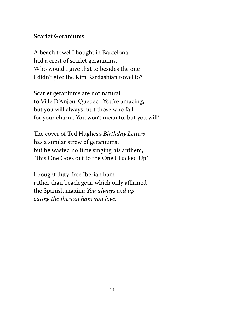#### **Scarlet Geraniums**

A beach towel I bought in Barcelona had a crest of scarlet geraniums. Who would I give that to besides the one I didn't give the Kim Kardashian towel to?

Scarlet geraniums are not natural to Ville D'Anjou, Quebec. 'You're amazing, but you will always hurt those who fall for your charm. You won't mean to, but you will.'

The cover of Ted Hughes's Birthday Letters has a similar strew of geraniums, but he wasted no time singing his anthem, 'This One Goes out to the One I Fucked Up.'

I bought duty-free Iberian ham rather than beach gear, which only affirmed the Spanish maxim: You always end up eating the Iberian ham you love.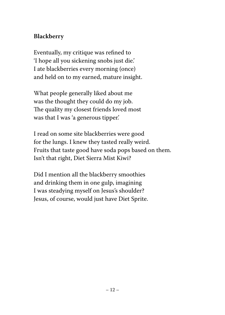#### **Blackberry**

Eventually, my critique was refined to 'I hope all you sickening snobs just die.' I ate blackberries every morning (once) and held on to my earned, mature insight.

What people generally liked about me was the thought they could do my job. The quality my closest friends loved most was that I was 'a generous tipper.'

I read on some site blackberries were good for the lungs. I knew they tasted really weird. Fruits that taste good have soda pops based on them. Isn't that right, Diet Sierra Mist Kiwi?

Did I mention all the blackberry smoothies and drinking them in one gulp, imagining I was steadying myself on Jesus's shoulder? Jesus, of course, would just have Diet Sprite.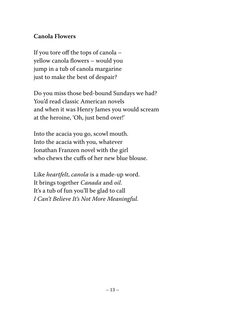#### **Canola Flowers**

If you tore off the tops of canola – yellow canola flowers – would you jump in a tub of canola margarine just to make the best of despair?

Do you miss those bed-bound Sundays we had? You'd read classic American novels and when it was Henry James you would scream at the heroine, 'Oh, just bend over!'

Into the acacia you go, scowl mouth. Into the acacia with you, whatever Jonathan Franzen novel with the girl who chews the cuffs of her new blue blouse.

Like heartfelt, canola is a made-up word. It brings together Canada and oil. It's a tub of fun you'll be glad to call I Can't Believe It's Not More Meaningful.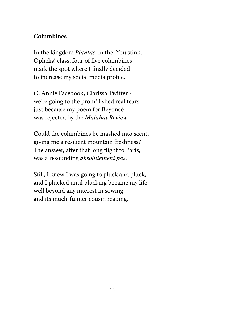#### **Columbines**

In the kingdom Plantae, in the 'You stink, Ophelia' class, four of five columbines mark the spot where I finally decided to increase my social media profile.

O, Annie Facebook, Clarissa Twitter we're going to the prom! I shed real tears just because my poem for Beyoncé was rejected by the Malahat Review.

Could the columbines be mashed into scent, giving me a resilient mountain freshness? The answer, after that long flight to Paris, was a resounding absolutement pas.

Still, I knew I was going to pluck and pluck, and I plucked until plucking became my life, well beyond any interest in sowing and its much-funner cousin reaping.